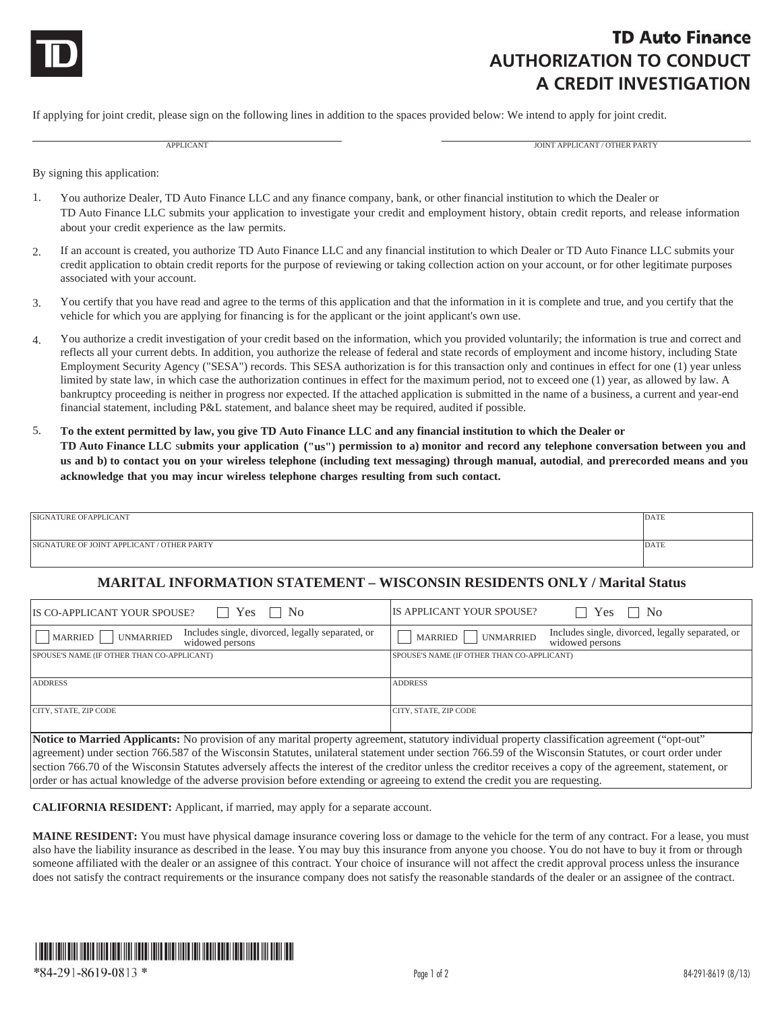

## **TD Auto Finance AUTHORIZATION TO CONDUCT A CREDIT INVESTIGATION**

If applying for joint credit, please sign on the following lines in addition to the spaces provided below: We intend to apply for joint credit.

APPLICANT AND APPLICANT AND A PROGRESS OF THE CANTAL AND A PROGRESS OF THE PARTY OF THE PARTY AND A PROGRESS OF THE PARTY

By signing this application:

- 1. You authorize Dealer, TD Auto Finance LLC and any finance company, bank, or other financial institution to which the Dealer or TD Auto Finance LLC submits your application to investigate your credit and employment history, obtain credit reports, and release information about your credit experience as the law permits.
- 2. If an account is created, you authorize TD Auto Finance LLC and any financial institution to which Dealer or TD Auto Finance LLC submits your credit application to obtain credit reports for the purpose of reviewing or taking collection action on your account, or for other legitimate purposes associated with your account.
- 3. You certify that you have read and agree to the terms of this application and that the information in it is complete and true, and you certify that the vehicle for which you are applying for financing is for the applicant or the joint applicant's own use.
- 4. You authorize a credit investigation of your credit based on the information, which you provided voluntarily; the information is true and correct and reflects all your current debts. In addition, you authorize the release of federal and state records of employment and income history, including State Employment Security Agency ("SESA") records. This SESA authorization is for this transaction only and continues in effect for one (1) year unless limited by state law, in which case the authorization continues in effect for the maximum period, not to exceed one (1) year, as allowed by law. A bankruptcy proceeding is neither in progress nor expected. If the attached application is submitted in the name of a business, a current and year-end financial statement, including P&L statement, and balance sheet may be required, audited if possible.
- 5. **To the extent permitted by law, you give TD Auto Finance LLC and any financial institution to which the Dealer or TD Auto Finance LLC** s**ubmits your application ("us") permission to a) monitor and record any telephone conversation between you and us and b) to contact you on your wireless telephone (including text messaging) through manual, autodial**, **and prerecorded means and you acknowledge that you may incur wireless telephone charges resulting from such contact.**

| SIGNATURE OF APPLICANT                     | DATE |
|--------------------------------------------|------|
| SIGNATURE OF JOINT APPLICANT / OTHER PARTY | DATE |

## **MARITAL INFORMATION STATEMENT – WISCONSIN RESIDENTS ONLY / Marital Status**

| $\Box$ Yes $\Box$ No<br>IS CO-APPLICANT YOUR SPOUSE?                                                                                                | IS APPLICANT YOUR SPOUSE?<br>$\Box$ No<br>Yes                                                 |  |
|-----------------------------------------------------------------------------------------------------------------------------------------------------|-----------------------------------------------------------------------------------------------|--|
| Includes single, divorced, legally separated, or<br>    MARRIED     UNMARRIED<br>widowed persons                                                    | Includes single, divorced, legally separated, or<br>MARRIED  <br>UNMARRIED<br>widowed persons |  |
| SPOUSE'S NAME (IF OTHER THAN CO-APPLICANT)                                                                                                          | SPOUSE'S NAME (IF OTHER THAN CO-APPLICANT)                                                    |  |
|                                                                                                                                                     |                                                                                               |  |
| <b>ADDRESS</b>                                                                                                                                      | <b>ADDRESS</b>                                                                                |  |
|                                                                                                                                                     |                                                                                               |  |
| CITY, STATE, ZIP CODE                                                                                                                               | CITY, STATE, ZIP CODE                                                                         |  |
|                                                                                                                                                     |                                                                                               |  |
|                                                                                                                                                     |                                                                                               |  |
| Notice to Married Applicants: No provision of any marital property agreement, statutory individual property classification agreement ("opt-out"     |                                                                                               |  |
| agreement) under section 766.587 of the Wisconsin Statutes unilateral statement under section 766.59 of the Wisconsin Statutes or court order under |                                                                                               |  |

of the Wisconsin Statutes, unilateral statement under section 766.59 of the Wisconsin St section 766.70 of the Wisconsin Statutes adversely affects the interest of the creditor unless the creditor receives a copy of the agreement, statement, or order or has actual knowledge of the adverse provision before extending or agreeing to extend the credit you are requesting.

**CALIFORNIA RESIDENT:** Applicant, if married, may apply for a separate account.

**MAINE RESIDENT:** You must have physical damage insurance covering loss or damage to the vehicle for the term of any contract. For a lease, you must also have the liability insurance as described in the lease. You may buy this insurance from anyone you choose. You do not have to buy it from or through someone affiliated with the dealer or an assignee of this contract. Your choice of insurance will not affect the credit approval process unless the insurance does not satisfy the contract requirements or the insurance company does not satisfy the reasonable standards of the dealer or an assignee of the contract.